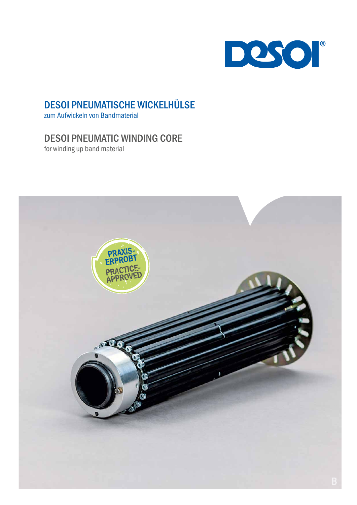

# DESOI PNEUMATISCHE WICKELHÜLSE

zum Aufwickeln von Bandmaterial

## DESOI PNEUMATIC WINDING CORE

for winding up band material

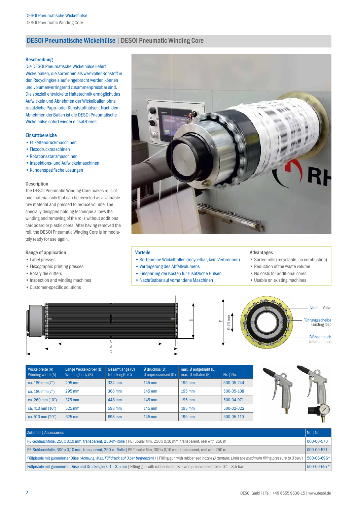### DESOI Pneumatische Wickelhülse | DESOI Pneumatic Winding Core

#### Beschreibung

Die DESOI Pneumatische Wickelhülse liefert Wickelballen, die sortenrein als wertvoller Rohstoff in den Recyclingkreislauf eingebracht werden können und volumenverringernd zusammenpressbar sind. Die speziell entwickelte Haltetechnik ermöglicht das Aufwickeln und Abnehmen der Wickelballen ohne zusätzliche Papp- oder Kunststoffhülsen. Nach dem Abnehmen der Ballen ist die DESOI Pneumatische Wickelhülse sofort wieder einsatzbereit.

#### Einsatzbereiche

- Etikettendruckmaschinen
- Flexodruckmaschinen
- Rotationsstanzmaschinen
- Inspektions- und Aufwickelmaschinen
- Kundenspezifische Lösungen

#### Description

The DESOI Pneumatic Winding Core makes rolls of one material only that can be recycled as a valuable raw material and pressed to reduce volume. The specially designed holding technique allows the winding and removing of the rolls without additional cardboard or plastic cores. After having removed the roll, the DESOI Pneumatic Winding Core is immediately ready for use again.

#### Range of application

- Label presses
- Flexographic printing presses
- Rotary die cutters
- Inspection and winding machines
- Customer-specific solutions



#### Vorteile

- Sortenreine Wickelballen (recycelbar, kein Verbrennen)
- Verringerung des Abfallvolumens
- Einsparung der Kosten für zusätzliche Hülsen
- Nachrüstbar auf vorhandene Maschinen

#### Advantages

- Sorted rolls (recyclable, no combustion)
- Reduction of the waste volume
- No costs for additional cores
- Usable on existing machines





| Wickelbreite (A)<br>Winding width (A) | Länge Wickelkörper (B)<br>Winding body (B) | Gesamtlänge (C)<br>Total length (C) | $\emptyset$ drucklos (D)<br>$Ø$ unpressurised (D) | max. Ø aufgebläht (E)<br>max. $\emptyset$ inflated (E) | Nr.   No.  |
|---------------------------------------|--------------------------------------------|-------------------------------------|---------------------------------------------------|--------------------------------------------------------|------------|
| ca. 180 mm (7")                       | 295 mm                                     | 334 mm                              | 145 mm                                            | 195 mm                                                 | 500-05-244 |
| ca. 180 mm (7")                       | 295 mm                                     | 368 mm                              | 145 mm                                            | $195 \text{ mm}$                                       | 500-05-108 |
| ca. 260 mm (10")                      | 375 mm                                     | 448 mm                              | 145 mm                                            | 195 mm                                                 | 500-04-971 |
| ca. 410 mm (16")                      | 525 mm                                     | 598 mm                              | 145 mm                                            | $195 \text{ mm}$                                       | 500-02-322 |
| ca. 510 mm (20")                      | 625 mm                                     | 698 mm                              | 145 mm                                            | 195 mm                                                 | 500-05-110 |



| Zubehör   Accessories                                                                                                                                                          |  |  |  |
|--------------------------------------------------------------------------------------------------------------------------------------------------------------------------------|--|--|--|
| PE-Schlauchfolie, 250 x 0,10 mm, transparent, 250-m-Rolle   PE Tubular film, 250 x 0,10 mm, transparent, reel with 250 m                                                       |  |  |  |
| PE-Schlauchfolie, 300 x 0,10 mm, transparent, 250-m-Rolle   PE Tubular film, 300 x 0,10 mm, transparent, reel with 250 m                                                       |  |  |  |
| [Füllpistole mit gummierter Düse (Achtung: Max. Fülldruck auf 3 bar begrenzen!)   Filling gun with rubberised nozzle (Attention: Limit the maximum filling pressure to 3 bar!) |  |  |  |
| Füllpistole mit gummierter Düse und Druckregler 0,1 – 3,5 bar   Filling gun with rubberised nozzle and pressure controller 0.1 – 3.5 bar                                       |  |  |  |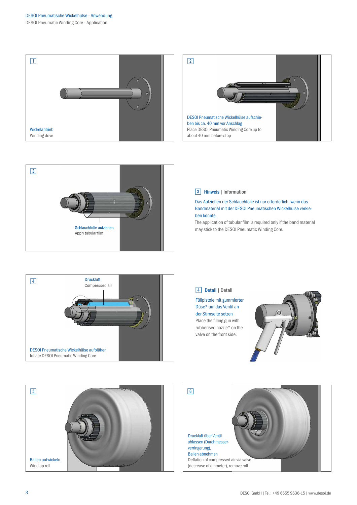



#### ¶ Hinweis<sup>|</sup> Information

Das Aufziehen der Schlauchfolie ist nur erforderlich, wenn das Bandmaterial mit der DESOI Pneumatischen Wickelhülse verkleben könnte.

The application of tubular film is required only if the band material may stick to the DESOI Pneumatic Winding Core.



#### ¢ Detail <sup>|</sup>Detail

Füllpistole mit gummierter Düse\* auf das Ventil an der Stirnseite setzen Place the filling gun with rubberised nozzle\* on the valve on the front side.